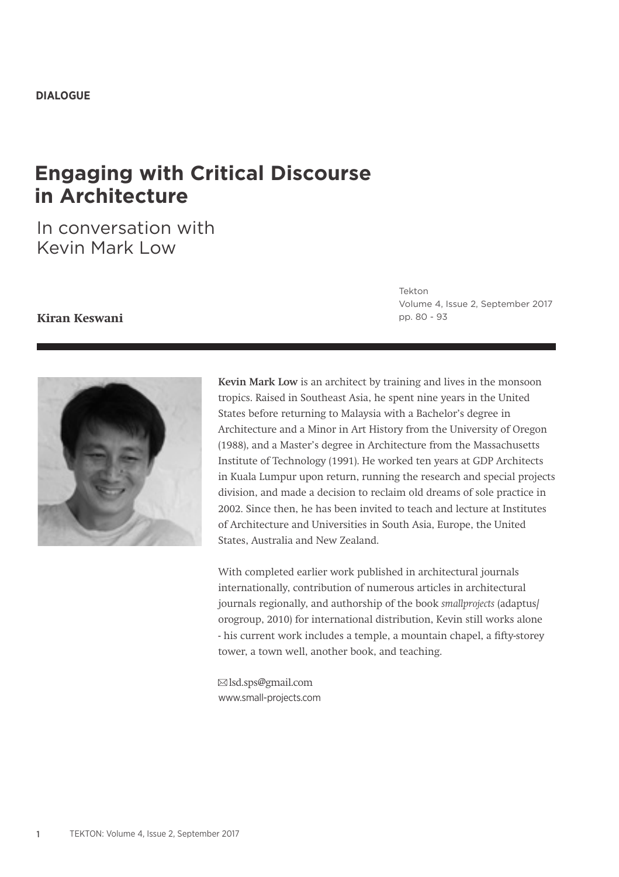# **Engaging with Critical Discourse in Architecture**

In conversation with Kevin Mark Low

## **Kiran Keswani**

Tekton Volume 4, Issue 2, September 2017 pp. 80 - 93



**Kevin Mark Low** is an architect by training and lives in the monsoon tropics. Raised in Southeast Asia, he spent nine years in the United States before returning to Malaysia with a Bachelor's degree in Architecture and a Minor in Art History from the University of Oregon (1988), and a Master's degree in Architecture from the Massachusetts Institute of Technology (1991). He worked ten years at GDP Architects in Kuala Lumpur upon return, running the research and special projects division, and made a decision to reclaim old dreams of sole practice in 2002. Since then, he has been invited to teach and lecture at Institutes of Architecture and Universities in South Asia, Europe, the United States, Australia and New Zealand.

With completed earlier work published in architectural journals internationally, contribution of numerous articles in architectural journals regionally, and authorship of the book *smallprojects* (adaptus/ orogroup, 2010) for international distribution, Kevin still works alone - his current work includes a temple, a mountain chapel, a fifty-storey tower, a town well, another book, and teaching.

 lsd.sps@gmail.com www.small-projects.com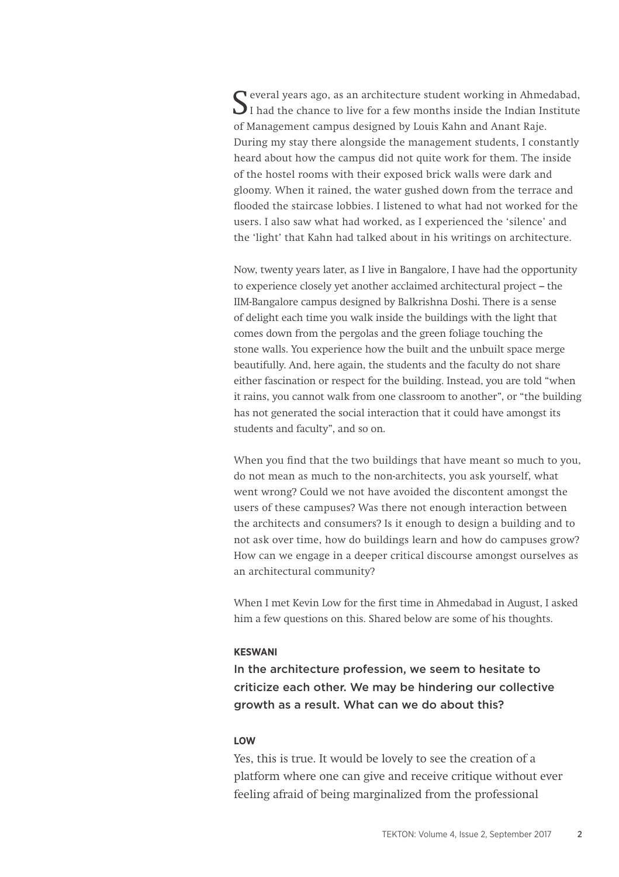Several years ago, as an architecture student working in Ahmedabad,<br>I had the chance to live for a few months inside the Indian Institute of Management campus designed by Louis Kahn and Anant Raje. During my stay there alongside the management students, I constantly heard about how the campus did not quite work for them. The inside of the hostel rooms with their exposed brick walls were dark and gloomy. When it rained, the water gushed down from the terrace and flooded the staircase lobbies. I listened to what had not worked for the users. I also saw what had worked, as I experienced the 'silence' and the 'light' that Kahn had talked about in his writings on architecture.

Now, twenty years later, as I live in Bangalore, I have had the opportunity to experience closely yet another acclaimed architectural project – the IIM-Bangalore campus designed by Balkrishna Doshi. There is a sense of delight each time you walk inside the buildings with the light that comes down from the pergolas and the green foliage touching the stone walls. You experience how the built and the unbuilt space merge beautifully. And, here again, the students and the faculty do not share either fascination or respect for the building. Instead, you are told "when it rains, you cannot walk from one classroom to another", or "the building has not generated the social interaction that it could have amongst its students and faculty", and so on.

When you find that the two buildings that have meant so much to you, do not mean as much to the non-architects, you ask yourself, what went wrong? Could we not have avoided the discontent amongst the users of these campuses? Was there not enough interaction between the architects and consumers? Is it enough to design a building and to not ask over time, how do buildings learn and how do campuses grow? How can we engage in a deeper critical discourse amongst ourselves as an architectural community?

When I met Kevin Low for the first time in Ahmedabad in August, I asked him a few questions on this. Shared below are some of his thoughts.

#### **KESWANI**

In the architecture profession, we seem to hesitate to criticize each other. We may be hindering our collective growth as a result. What can we do about this?

#### **LOW**

Yes, this is true. It would be lovely to see the creation of a platform where one can give and receive critique without ever feeling afraid of being marginalized from the professional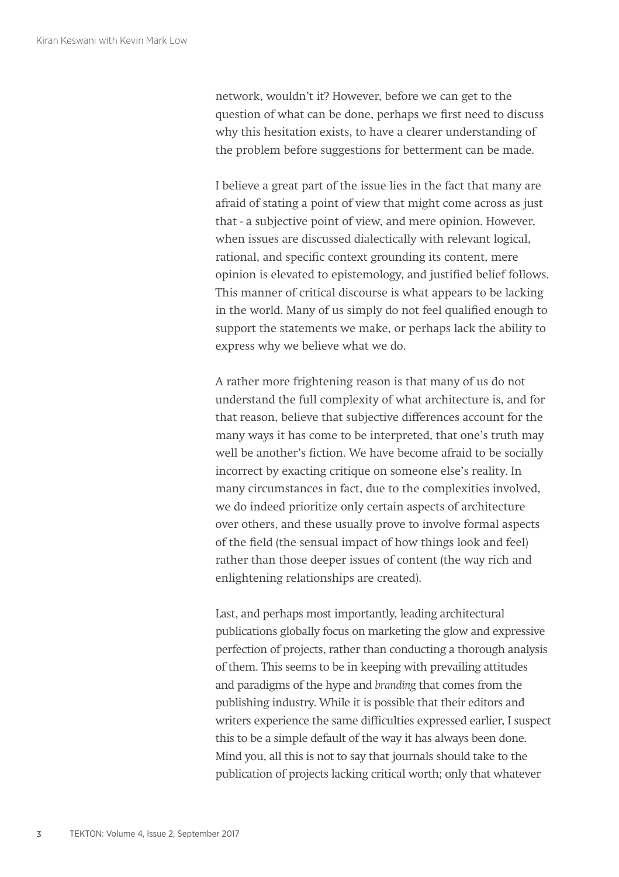network, wouldn't it? However, before we can get to the question of what can be done, perhaps we first need to discuss why this hesitation exists, to have a clearer understanding of the problem before suggestions for betterment can be made.

I believe a great part of the issue lies in the fact that many are afraid of stating a point of view that might come across as just that - a subjective point of view, and mere opinion. However, when issues are discussed dialectically with relevant logical, rational, and specific context grounding its content, mere opinion is elevated to epistemology, and justified belief follows. This manner of critical discourse is what appears to be lacking in the world. Many of us simply do not feel qualified enough to support the statements we make, or perhaps lack the ability to express why we believe what we do.

A rather more frightening reason is that many of us do not understand the full complexity of what architecture is, and for that reason, believe that subjective differences account for the many ways it has come to be interpreted, that one's truth may well be another's fiction. We have become afraid to be socially incorrect by exacting critique on someone else's reality. In many circumstances in fact, due to the complexities involved, we do indeed prioritize only certain aspects of architecture over others, and these usually prove to involve formal aspects of the field (the sensual impact of how things look and feel) rather than those deeper issues of content (the way rich and enlightening relationships are created).

Last, and perhaps most importantly, leading architectural publications globally focus on marketing the glow and expressive perfection of projects, rather than conducting a thorough analysis of them. This seems to be in keeping with prevailing attitudes and paradigms of the hype and *branding* that comes from the publishing industry. While it is possible that their editors and writers experience the same difficulties expressed earlier, I suspect this to be a simple default of the way it has always been done. Mind you, all this is not to say that journals should take to the publication of projects lacking critical worth; only that whatever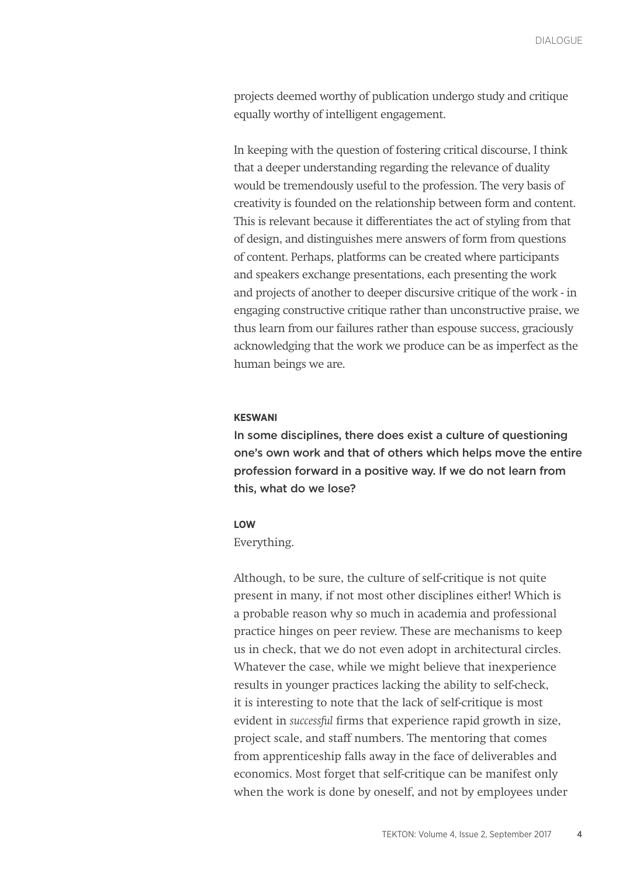projects deemed worthy of publication undergo study and critique equally worthy of intelligent engagement.

In keeping with the question of fostering critical discourse, I think that a deeper understanding regarding the relevance of duality would be tremendously useful to the profession. The very basis of creativity is founded on the relationship between form and content. This is relevant because it differentiates the act of styling from that of design, and distinguishes mere answers of form from questions of content. Perhaps, platforms can be created where participants and speakers exchange presentations, each presenting the work and projects of another to deeper discursive critique of the work - in engaging constructive critique rather than unconstructive praise, we thus learn from our failures rather than espouse success, graciously acknowledging that the work we produce can be as imperfect as the human beings we are.

#### **KESWANI**

In some disciplines, there does exist a culture of questioning one's own work and that of others which helps move the entire profession forward in a positive way. If we do not learn from this, what do we lose?

## **LOW**

## Everything.

Although, to be sure, the culture of self-critique is not quite present in many, if not most other disciplines either! Which is a probable reason why so much in academia and professional practice hinges on peer review. These are mechanisms to keep us in check, that we do not even adopt in architectural circles. Whatever the case, while we might believe that inexperience results in younger practices lacking the ability to self-check, it is interesting to note that the lack of self-critique is most evident in *successful* firms that experience rapid growth in size, project scale, and staff numbers. The mentoring that comes from apprenticeship falls away in the face of deliverables and economics. Most forget that self-critique can be manifest only when the work is done by oneself, and not by employees under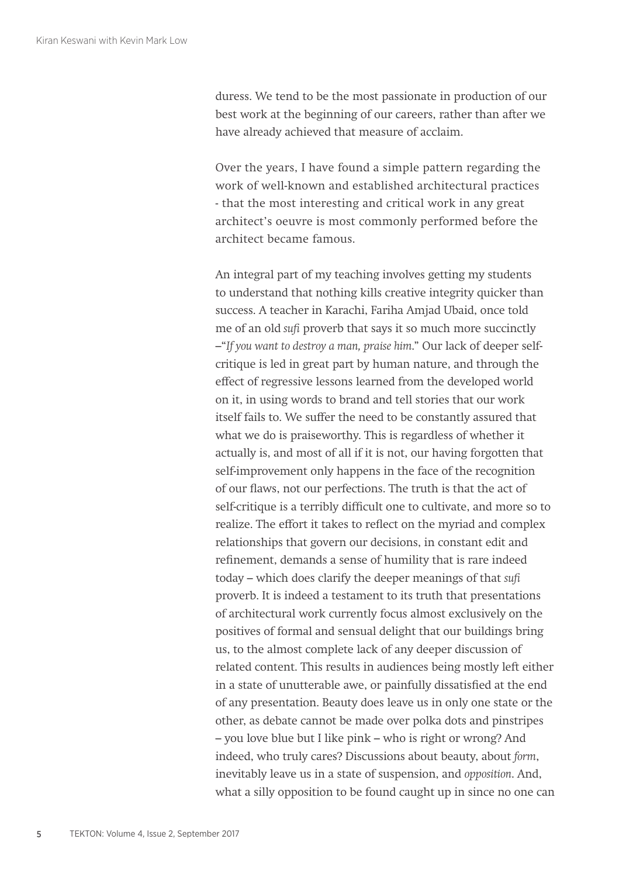duress. We tend to be the most passionate in production of our best work at the beginning of our careers, rather than after we have already achieved that measure of acclaim.

Over the years, I have found a simple pattern regarding the work of well-known and established architectural practices - that the most interesting and critical work in any great architect's oeuvre is most commonly performed before the architect became famous.

An integral part of my teaching involves getting my students to understand that nothing kills creative integrity quicker than success. A teacher in Karachi, Fariha Amjad Ubaid, once told me of an old *sufi* proverb that says it so much more succinctly –"*If you want to destroy a man, praise him*." Our lack of deeper selfcritique is led in great part by human nature, and through the effect of regressive lessons learned from the developed world on it, in using words to brand and tell stories that our work itself fails to. We suffer the need to be constantly assured that what we do is praiseworthy. This is regardless of whether it actually is, and most of all if it is not, our having forgotten that self-improvement only happens in the face of the recognition of our flaws, not our perfections. The truth is that the act of self-critique is a terribly difficult one to cultivate, and more so to realize. The effort it takes to reflect on the myriad and complex relationships that govern our decisions, in constant edit and refinement, demands a sense of humility that is rare indeed today – which does clarify the deeper meanings of that *sufi* proverb. It is indeed a testament to its truth that presentations of architectural work currently focus almost exclusively on the positives of formal and sensual delight that our buildings bring us, to the almost complete lack of any deeper discussion of related content. This results in audiences being mostly left either in a state of unutterable awe, or painfully dissatisfied at the end of any presentation. Beauty does leave us in only one state or the other, as debate cannot be made over polka dots and pinstripes – you love blue but I like pink – who is right or wrong? And indeed, who truly cares? Discussions about beauty, about *form*, inevitably leave us in a state of suspension, and *opposition*. And, what a silly opposition to be found caught up in since no one can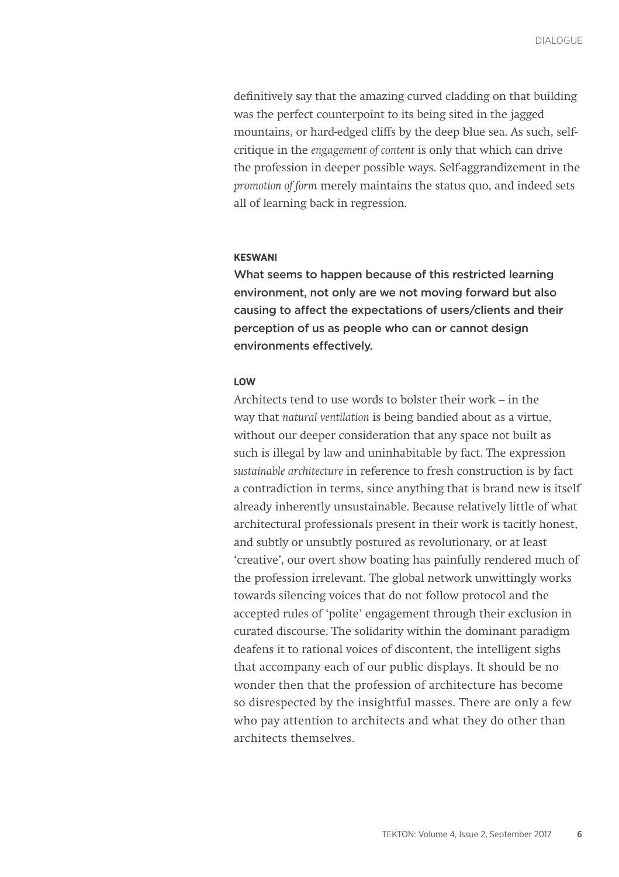definitively say that the amazing curved cladding on that building was the perfect counterpoint to its being sited in the jagged mountains, or hard-edged cliffs by the deep blue sea. As such, selfcritique in the *engagement of content* is only that which can drive the profession in deeper possible ways. Self-aggrandizement in the *promotion of form* merely maintains the status quo, and indeed sets all of learning back in regression.

## **KESWANI**

What seems to happen because of this restricted learning environment, not only are we not moving forward but also causing to affect the expectations of users/clients and their perception of us as people who can or cannot design environments effectively.

## **LOW**

Architects tend to use words to bolster their work – in the way that *natural ventilation* is being bandied about as a virtue, without our deeper consideration that any space not built as such is illegal by law and uninhabitable by fact. The expression *sustainable architecture* in reference to fresh construction is by fact a contradiction in terms, since anything that is brand new is itself already inherently unsustainable. Because relatively little of what architectural professionals present in their work is tacitly honest, and subtly or unsubtly postured as revolutionary, or at least 'creative', our overt show boating has painfully rendered much of the profession irrelevant. The global network unwittingly works towards silencing voices that do not follow protocol and the accepted rules of 'polite' engagement through their exclusion in curated discourse. The solidarity within the dominant paradigm deafens it to rational voices of discontent, the intelligent sighs that accompany each of our public displays. It should be no wonder then that the profession of architecture has become so disrespected by the insightful masses. There are only a few who pay attention to architects and what they do other than architects themselves.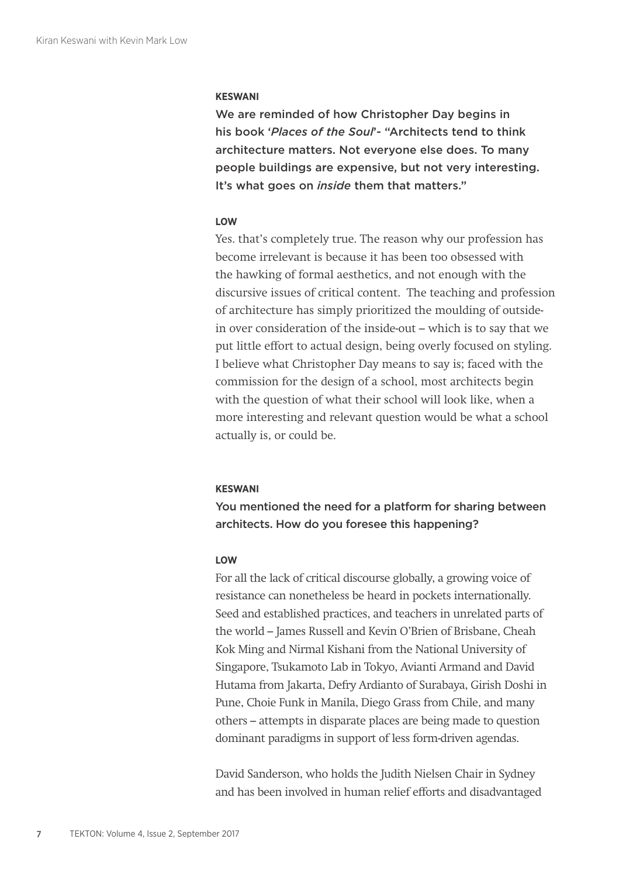#### **KESWANI**

We are reminded of how Christopher Day begins in his book '*Places of the Soul*'- "Architects tend to think architecture matters. Not everyone else does. To many people buildings are expensive, but not very interesting. It's what goes on *inside* them that matters."

## **LOW**

Yes. that's completely true. The reason why our profession has become irrelevant is because it has been too obsessed with the hawking of formal aesthetics, and not enough with the discursive issues of critical content. The teaching and profession of architecture has simply prioritized the moulding of outsidein over consideration of the inside-out – which is to say that we put little effort to actual design, being overly focused on styling. I believe what Christopher Day means to say is; faced with the commission for the design of a school, most architects begin with the question of what their school will look like, when a more interesting and relevant question would be what a school actually is, or could be.

#### **KESWANI**

You mentioned the need for a platform for sharing between architects. How do you foresee this happening?

## **LOW**

For all the lack of critical discourse globally, a growing voice of resistance can nonetheless be heard in pockets internationally. Seed and established practices, and teachers in unrelated parts of the world – James Russell and Kevin O'Brien of Brisbane, Cheah Kok Ming and Nirmal Kishani from the National University of Singapore, Tsukamoto Lab in Tokyo, Avianti Armand and David Hutama from Jakarta, Defry Ardianto of Surabaya, Girish Doshi in Pune, Choie Funk in Manila, Diego Grass from Chile, and many others – attempts in disparate places are being made to question dominant paradigms in support of less form-driven agendas.

David Sanderson, who holds the Judith Nielsen Chair in Sydney and has been involved in human relief efforts and disadvantaged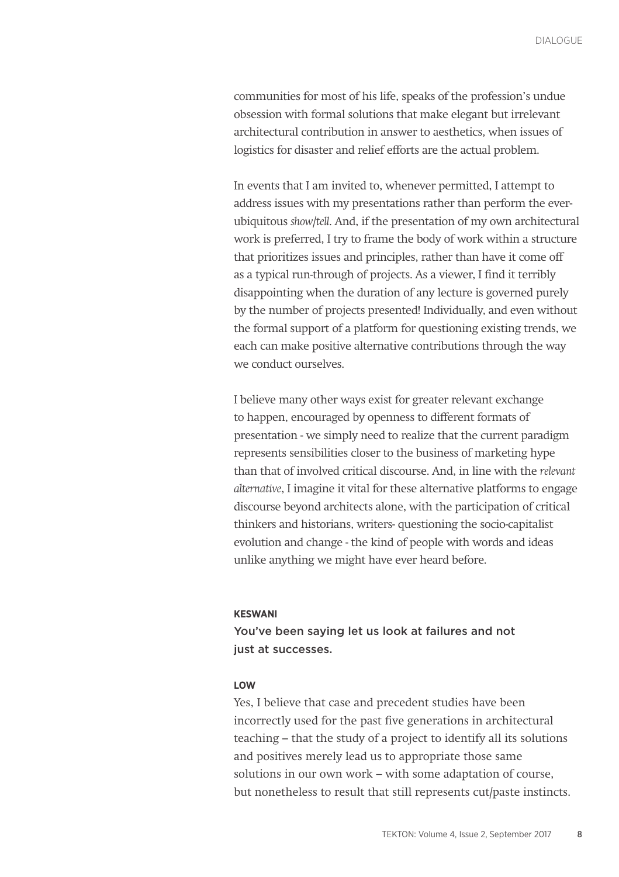communities for most of his life, speaks of the profession's undue obsession with formal solutions that make elegant but irrelevant architectural contribution in answer to aesthetics, when issues of logistics for disaster and relief efforts are the actual problem.

In events that I am invited to, whenever permitted, I attempt to address issues with my presentations rather than perform the everubiquitous *show/tell*. And, if the presentation of my own architectural work is preferred, I try to frame the body of work within a structure that prioritizes issues and principles, rather than have it come off as a typical run-through of projects. As a viewer, I find it terribly disappointing when the duration of any lecture is governed purely by the number of projects presented! Individually, and even without the formal support of a platform for questioning existing trends, we each can make positive alternative contributions through the way we conduct ourselves.

I believe many other ways exist for greater relevant exchange to happen, encouraged by openness to different formats of presentation - we simply need to realize that the current paradigm represents sensibilities closer to the business of marketing hype than that of involved critical discourse. And, in line with the *relevant alternative*, I imagine it vital for these alternative platforms to engage discourse beyond architects alone, with the participation of critical thinkers and historians, writers- questioning the socio-capitalist evolution and change - the kind of people with words and ideas unlike anything we might have ever heard before.

#### **KESWANI**

You've been saying let us look at failures and not just at successes.

## **LOW**

Yes, I believe that case and precedent studies have been incorrectly used for the past five generations in architectural teaching – that the study of a project to identify all its solutions and positives merely lead us to appropriate those same solutions in our own work – with some adaptation of course, but nonetheless to result that still represents cut/paste instincts.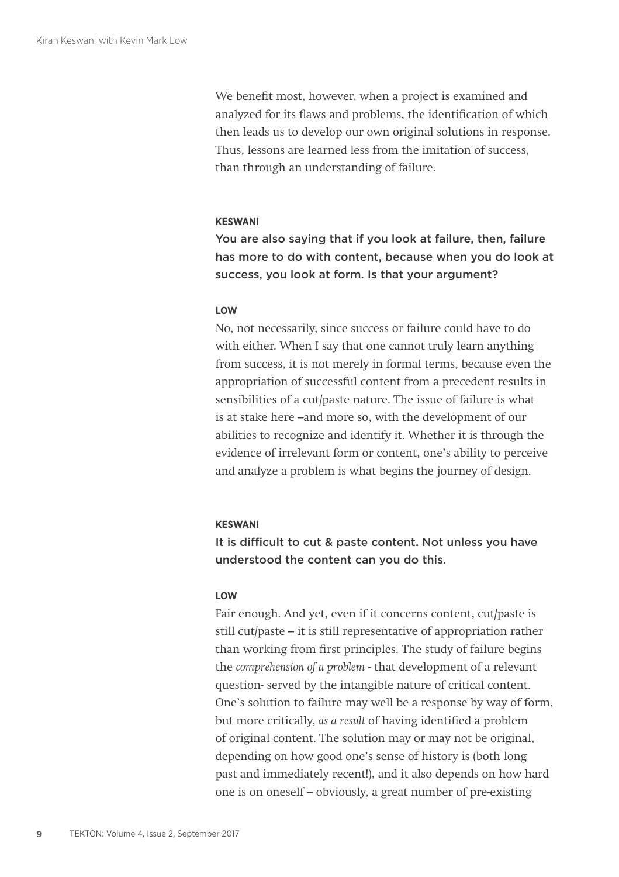We benefit most, however, when a project is examined and analyzed for its flaws and problems, the identification of which then leads us to develop our own original solutions in response. Thus, lessons are learned less from the imitation of success, than through an understanding of failure.

## **KESWANI**

You are also saying that if you look at failure, then, failure has more to do with content, because when you do look at success, you look at form. Is that your argument?

## **LOW**

No, not necessarily, since success or failure could have to do with either. When I say that one cannot truly learn anything from success, it is not merely in formal terms, because even the appropriation of successful content from a precedent results in sensibilities of a cut/paste nature. The issue of failure is what is at stake here –and more so, with the development of our abilities to recognize and identify it. Whether it is through the evidence of irrelevant form or content, one's ability to perceive and analyze a problem is what begins the journey of design.

## **KESWANI**

It is difficult to cut & paste content. Not unless you have understood the content can you do this.

## **LOW**

Fair enough. And yet, even if it concerns content, cut/paste is still cut/paste – it is still representative of appropriation rather than working from first principles. The study of failure begins the *comprehension of a problem* - that development of a relevant question- served by the intangible nature of critical content. One's solution to failure may well be a response by way of form, but more critically, *as a result* of having identified a problem of original content. The solution may or may not be original, depending on how good one's sense of history is (both long past and immediately recent!), and it also depends on how hard one is on oneself – obviously, a great number of pre-existing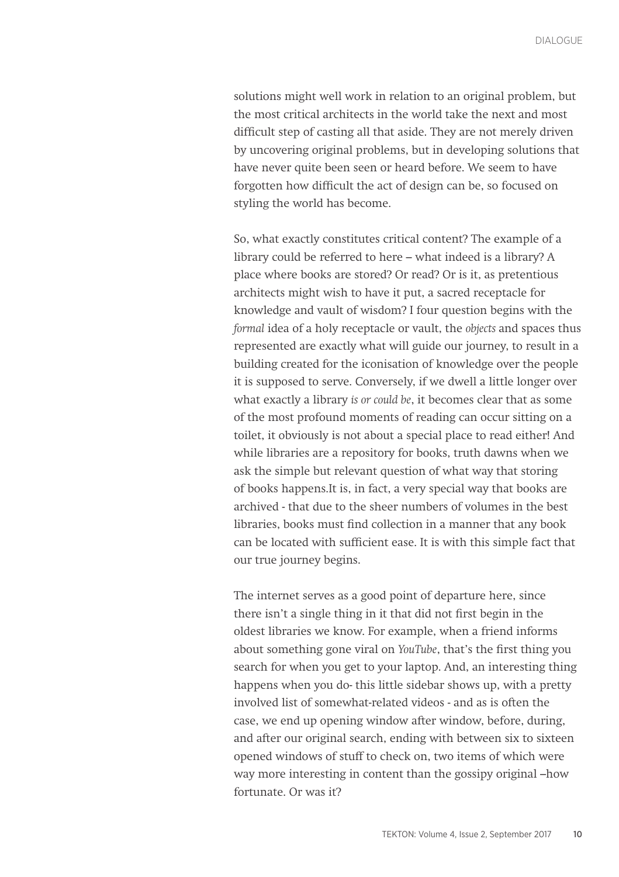solutions might well work in relation to an original problem, but the most critical architects in the world take the next and most difficult step of casting all that aside. They are not merely driven by uncovering original problems, but in developing solutions that have never quite been seen or heard before. We seem to have forgotten how difficult the act of design can be, so focused on styling the world has become.

So, what exactly constitutes critical content? The example of a library could be referred to here – what indeed is a library? A place where books are stored? Or read? Or is it, as pretentious architects might wish to have it put, a sacred receptacle for knowledge and vault of wisdom? I four question begins with the *formal* idea of a holy receptacle or vault, the *objects* and spaces thus represented are exactly what will guide our journey, to result in a building created for the iconisation of knowledge over the people it is supposed to serve. Conversely, if we dwell a little longer over what exactly a library *is or could be*, it becomes clear that as some of the most profound moments of reading can occur sitting on a toilet, it obviously is not about a special place to read either! And while libraries are a repository for books, truth dawns when we ask the simple but relevant question of what way that storing of books happens.It is, in fact, a very special way that books are archived - that due to the sheer numbers of volumes in the best libraries, books must find collection in a manner that any book can be located with sufficient ease. It is with this simple fact that our true journey begins.

The internet serves as a good point of departure here, since there isn't a single thing in it that did not first begin in the oldest libraries we know. For example, when a friend informs about something gone viral on *YouTube*, that's the first thing you search for when you get to your laptop. And, an interesting thing happens when you do- this little sidebar shows up, with a pretty involved list of somewhat-related videos - and as is often the case, we end up opening window after window, before, during, and after our original search, ending with between six to sixteen opened windows of stuff to check on, two items of which were way more interesting in content than the gossipy original –how fortunate. Or was it?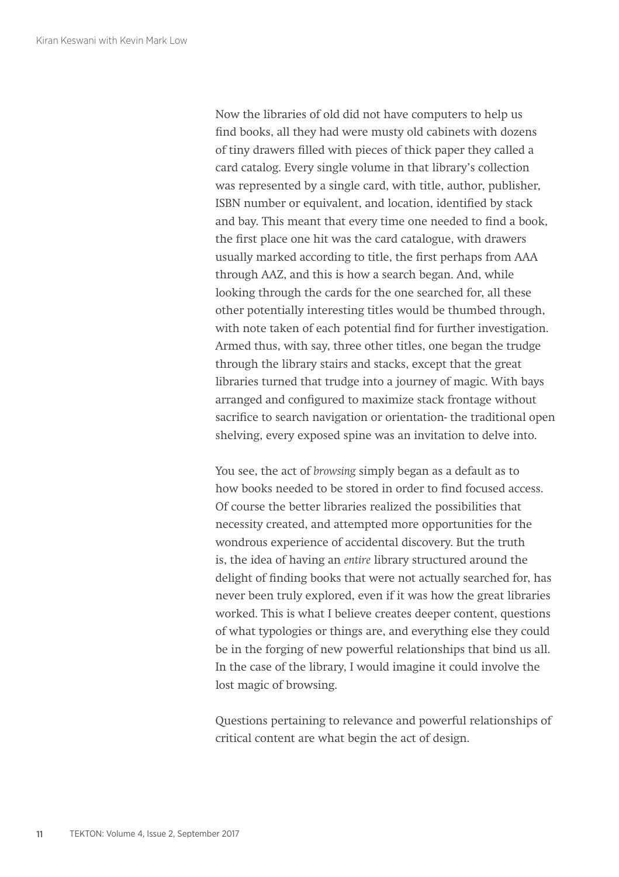Now the libraries of old did not have computers to help us find books, all they had were musty old cabinets with dozens of tiny drawers filled with pieces of thick paper they called a card catalog. Every single volume in that library's collection was represented by a single card, with title, author, publisher, ISBN number or equivalent, and location, identified by stack and bay. This meant that every time one needed to find a book, the first place one hit was the card catalogue, with drawers usually marked according to title, the first perhaps from AAA through AAZ, and this is how a search began. And, while looking through the cards for the one searched for, all these other potentially interesting titles would be thumbed through, with note taken of each potential find for further investigation. Armed thus, with say, three other titles, one began the trudge through the library stairs and stacks, except that the great libraries turned that trudge into a journey of magic. With bays arranged and configured to maximize stack frontage without sacrifice to search navigation or orientation- the traditional open shelving, every exposed spine was an invitation to delve into.

You see, the act of *browsing* simply began as a default as to how books needed to be stored in order to find focused access. Of course the better libraries realized the possibilities that necessity created, and attempted more opportunities for the wondrous experience of accidental discovery. But the truth is, the idea of having an *entire* library structured around the delight of finding books that were not actually searched for, has never been truly explored, even if it was how the great libraries worked. This is what I believe creates deeper content, questions of what typologies or things are, and everything else they could be in the forging of new powerful relationships that bind us all. In the case of the library, I would imagine it could involve the lost magic of browsing.

Questions pertaining to relevance and powerful relationships of critical content are what begin the act of design.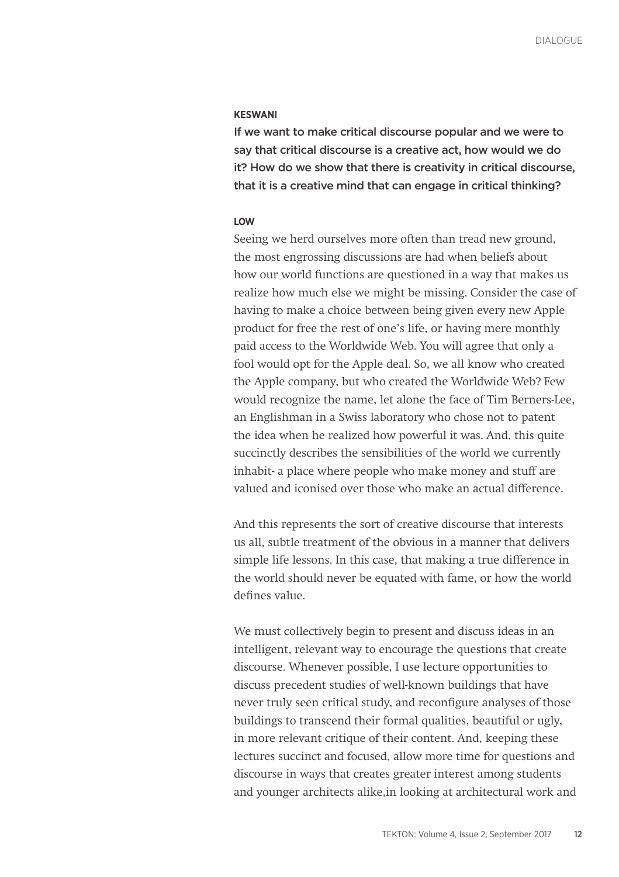## **KESWANI**

If we want to make critical discourse popular and we were to say that critical discourse is a creative act, how would we do it? How do we show that there is creativity in critical discourse, that it is a creative mind that can engage in critical thinking?

#### **LOW**

Seeing we herd ourselves more often than tread new ground, the most engrossing discussions are had when beliefs about how our world functions are questioned in a way that makes us realize how much else we might be missing. Consider the case of having to make a choice between being given every new Apple product for free the rest of one's life, or having mere monthly paid access to the Worldwide Web. You will agree that only a fool would opt for the Apple deal. So, we all know who created the Apple company, but who created the Worldwide Web? Few would recognize the name, let alone the face of Tim Berners-Lee, an Englishman in a Swiss laboratory who chose not to patent the idea when he realized how powerful it was. And, this quite succinctly describes the sensibilities of the world we currently inhabit- a place where people who make money and stuff are valued and iconised over those who make an actual difference.

And this represents the sort of creative discourse that interests us all, subtle treatment of the obvious in a manner that delivers simple life lessons. In this case, that making a true difference in the world should never be equated with fame, or how the world defines value.

We must collectively begin to present and discuss ideas in an intelligent, relevant way to encourage the questions that create discourse. Whenever possible, I use lecture opportunities to discuss precedent studies of well-known buildings that have never truly seen critical study, and reconfigure analyses of those buildings to transcend their formal qualities, beautiful or ugly, in more relevant critique of their content. And, keeping these lectures succinct and focused, allow more time for questions and discourse in ways that creates greater interest among students and younger architects alike,in looking at architectural work and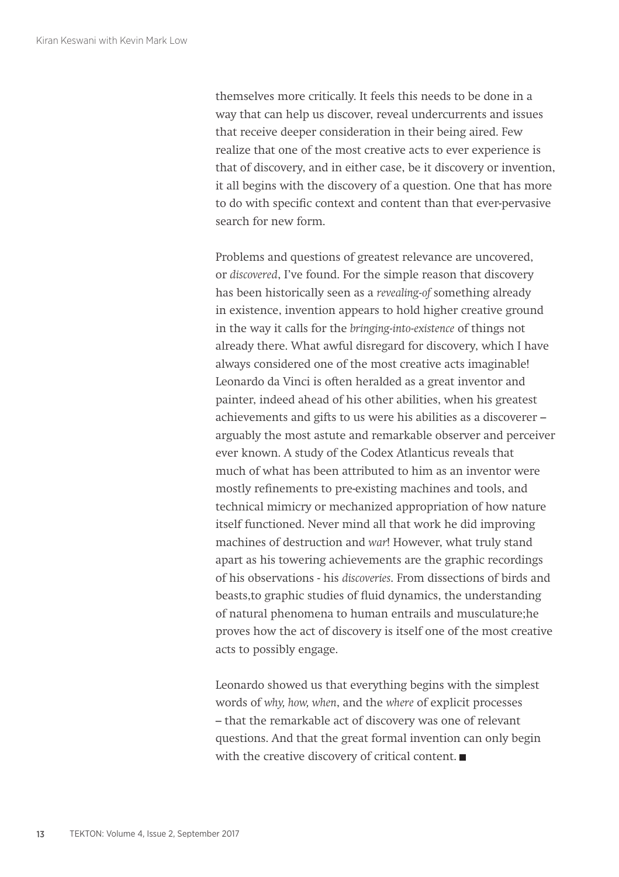themselves more critically. It feels this needs to be done in a way that can help us discover, reveal undercurrents and issues that receive deeper consideration in their being aired. Few realize that one of the most creative acts to ever experience is that of discovery, and in either case, be it discovery or invention, it all begins with the discovery of a question. One that has more to do with specific context and content than that ever-pervasive search for new form.

Problems and questions of greatest relevance are uncovered, or *discovered*, I've found. For the simple reason that discovery has been historically seen as a *revealing-of* something already in existence, invention appears to hold higher creative ground in the way it calls for the *bringing-into-existence* of things not already there. What awful disregard for discovery, which I have always considered one of the most creative acts imaginable! Leonardo da Vinci is often heralded as a great inventor and painter, indeed ahead of his other abilities, when his greatest achievements and gifts to us were his abilities as a discoverer – arguably the most astute and remarkable observer and perceiver ever known. A study of the Codex Atlanticus reveals that much of what has been attributed to him as an inventor were mostly refinements to pre-existing machines and tools, and technical mimicry or mechanized appropriation of how nature itself functioned. Never mind all that work he did improving machines of destruction and *war*! However, what truly stand apart as his towering achievements are the graphic recordings of his observations - his *discoveries*. From dissections of birds and beasts,to graphic studies of fluid dynamics, the understanding of natural phenomena to human entrails and musculature;he proves how the act of discovery is itself one of the most creative acts to possibly engage.

Leonardo showed us that everything begins with the simplest words of *why, how, when*, and the *where* of explicit processes – that the remarkable act of discovery was one of relevant questions. And that the great formal invention can only begin with the creative discovery of critical content.